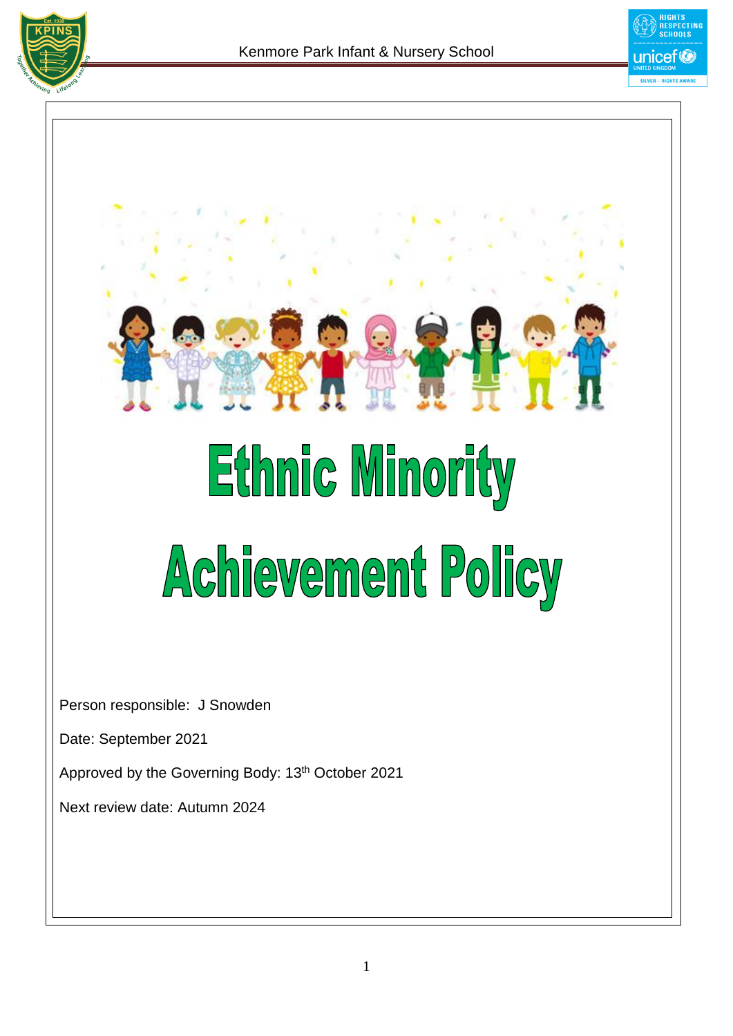



# Ethnic Minority Achievement Policy

Person responsible: J Snowden

Date: September 2021

Approved by the Governing Body: 13<sup>th</sup> October 2021

Next review date: Autumn 2024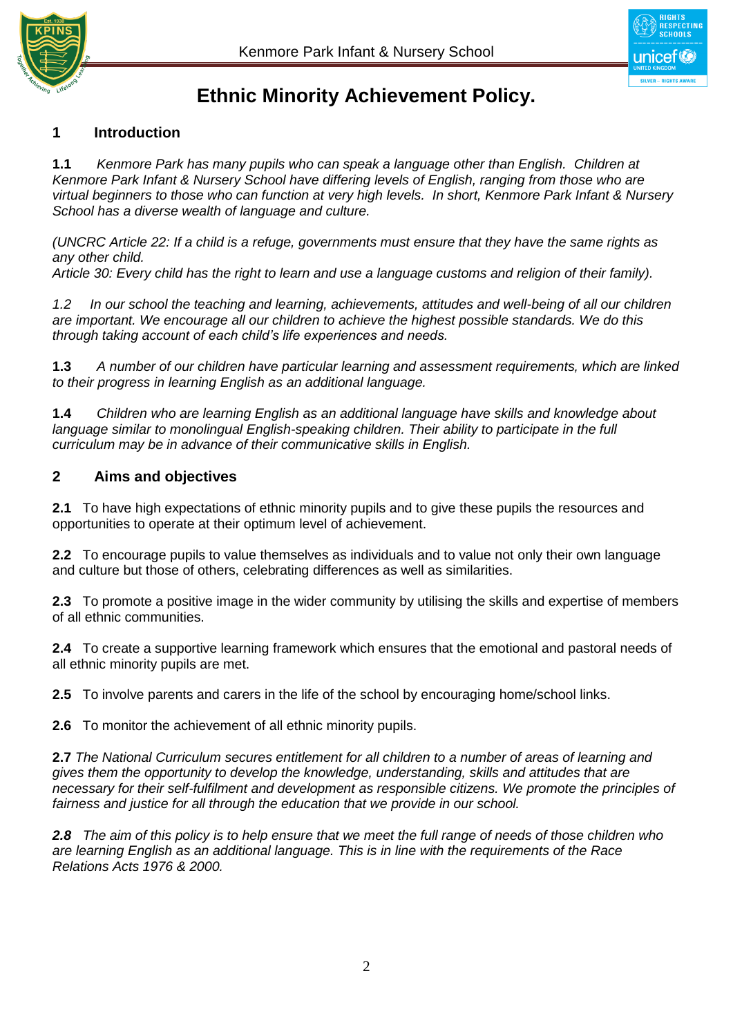



# **Ethnic Minority Achievement Policy.**

# **1 Introduction**

**1.1** *Kenmore Park has many pupils who can speak a language other than English. Children at Kenmore Park Infant & Nursery School have differing levels of English, ranging from those who are virtual beginners to those who can function at very high levels. In short, Kenmore Park Infant & Nursery School has a diverse wealth of language and culture.*

*(UNCRC Article 22: If a child is a refuge, governments must ensure that they have the same rights as any other child.* 

*Article 30: Every child has the right to learn and use a language customs and religion of their family).*

*1.2 In our school the teaching and learning, achievements, attitudes and well-being of all our children are important. We encourage all our children to achieve the highest possible standards. We do this through taking account of each child's life experiences and needs.*

**1.3** *A number of our children have particular learning and assessment requirements, which are linked to their progress in learning English as an additional language.*

**1.4** *Children who are learning English as an additional language have skills and knowledge about language similar to monolingual English-speaking children. Their ability to participate in the full curriculum may be in advance of their communicative skills in English.*

#### **2 Aims and objectives**

**2.1** To have high expectations of ethnic minority pupils and to give these pupils the resources and opportunities to operate at their optimum level of achievement.

**2.2** To encourage pupils to value themselves as individuals and to value not only their own language and culture but those of others, celebrating differences as well as similarities.

**2.3** To promote a positive image in the wider community by utilising the skills and expertise of members of all ethnic communities.

**2.4** To create a supportive learning framework which ensures that the emotional and pastoral needs of all ethnic minority pupils are met.

**2.5** To involve parents and carers in the life of the school by encouraging home/school links.

**2.6** To monitor the achievement of all ethnic minority pupils.

**2.7** *The National Curriculum secures entitlement for all children to a number of areas of learning and gives them the opportunity to develop the knowledge, understanding, skills and attitudes that are necessary for their self-fulfilment and development as responsible citizens. We promote the principles of fairness and justice for all through the education that we provide in our school.*

*2.8 The aim of this policy is to help ensure that we meet the full range of needs of those children who are learning English as an additional language. This is in line with the requirements of the Race Relations Acts 1976 & 2000.*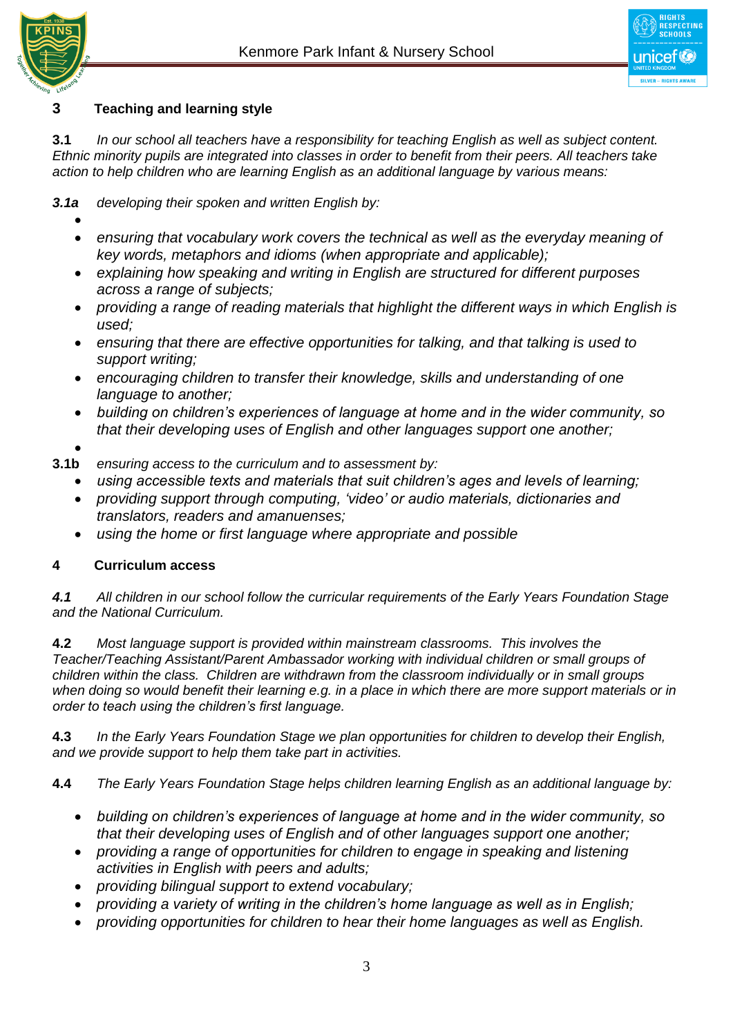



## **3 Teaching and learning style**

**3.1** *In our school all teachers have a responsibility for teaching English as well as subject content. Ethnic minority pupils are integrated into classes in order to benefit from their peers. All teachers take action to help children who are learning English as an additional language by various means:*

*3.1a developing their spoken and written English by:*

- $\bullet$
- *ensuring that vocabulary work covers the technical as well as the everyday meaning of key words, metaphors and idioms (when appropriate and applicable);*
- *explaining how speaking and writing in English are structured for different purposes across a range of subjects;*
- *providing a range of reading materials that highlight the different ways in which English is used;*
- *ensuring that there are effective opportunities for talking, and that talking is used to support writing;*
- *encouraging children to transfer their knowledge, skills and understanding of one language to another;*
- *building on children's experiences of language at home and in the wider community, so that their developing uses of English and other languages support one another;*
- $\bullet$
- **3.1b** *ensuring access to the curriculum and to assessment by:*
	- *using accessible texts and materials that suit children's ages and levels of learning;*
	- *providing support through computing, 'video' or audio materials, dictionaries and translators, readers and amanuenses;*
	- *using the home or first language where appropriate and possible*

# **4 Curriculum access**

*4.1 All children in our school follow the curricular requirements of the Early Years Foundation Stage and the National Curriculum.* 

**4.2** *Most language support is provided within mainstream classrooms. This involves the Teacher/Teaching Assistant/Parent Ambassador working with individual children or small groups of children within the class. Children are withdrawn from the classroom individually or in small groups when doing so would benefit their learning e.g. in a place in which there are more support materials or in order to teach using the children's first language.* 

**4.3** *In the Early Years Foundation Stage we plan opportunities for children to develop their English, and we provide support to help them take part in activities.*

**4.4** *The Early Years Foundation Stage helps children learning English as an additional language by:*

- *building on children's experiences of language at home and in the wider community, so that their developing uses of English and of other languages support one another;*
- *providing a range of opportunities for children to engage in speaking and listening activities in English with peers and adults;*
- *providing bilingual support to extend vocabulary;*
- *providing a variety of writing in the children's home language as well as in English;*
- *providing opportunities for children to hear their home languages as well as English.*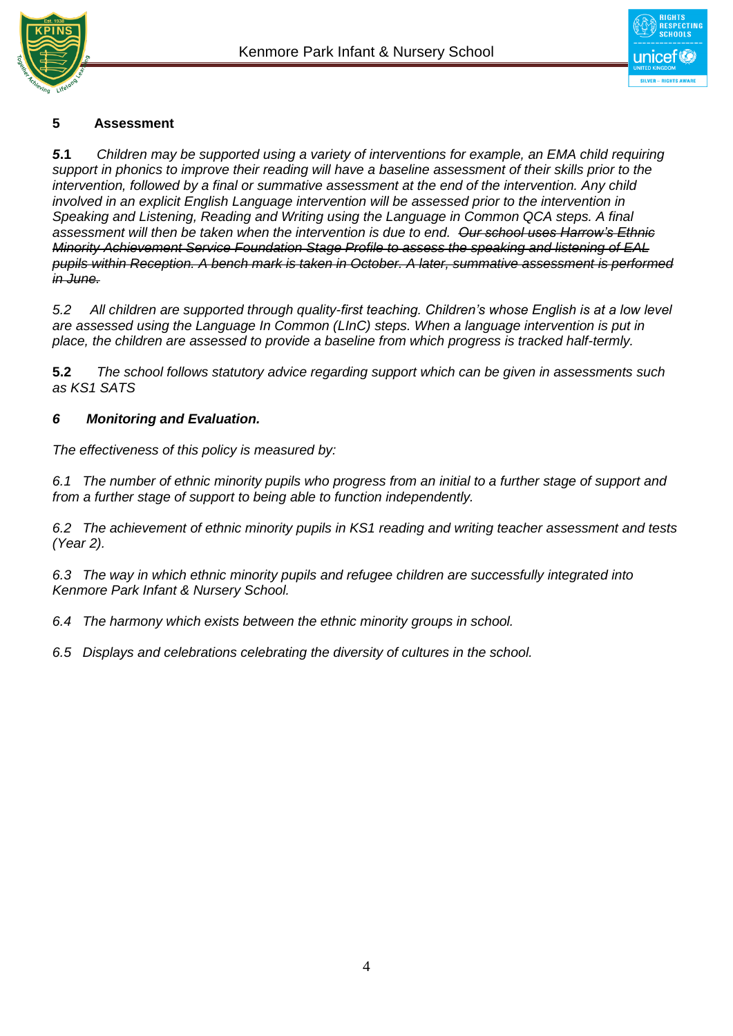



### **5 Assessment**

*5***.1** *Children may be supported using a variety of interventions for example, an EMA child requiring support in phonics to improve their reading will have a baseline assessment of their skills prior to the intervention, followed by a final or summative assessment at the end of the intervention. Any child involved in an explicit English Language intervention will be assessed prior to the intervention in Speaking and Listening, Reading and Writing using the Language in Common QCA steps. A final assessment will then be taken when the intervention is due to end. Our school uses Harrow's Ethnic Minority Achievement Service Foundation Stage Profile to assess the speaking and listening of EAL pupils within Reception. A bench mark is taken in October. A later, summative assessment is performed in June.* 

*5.2 All children are supported through quality-first teaching. Children's whose English is at a low level are assessed using the Language In Common (LInC) steps. When a language intervention is put in place, the children are assessed to provide a baseline from which progress is tracked half-termly.* 

**5.2** *The school follows statutory advice regarding support which can be given in assessments such as KS1 SATS*

#### *6 Monitoring and Evaluation.*

*The effectiveness of this policy is measured by:*

*6.1 The number of ethnic minority pupils who progress from an initial to a further stage of support and from a further stage of support to being able to function independently.*

*6.2 The achievement of ethnic minority pupils in KS1 reading and writing teacher assessment and tests (Year 2).*

*6.3 The way in which ethnic minority pupils and refugee children are successfully integrated into Kenmore Park Infant & Nursery School.*

*6.4 The harmony which exists between the ethnic minority groups in school.*

*6.5 Displays and celebrations celebrating the diversity of cultures in the school.*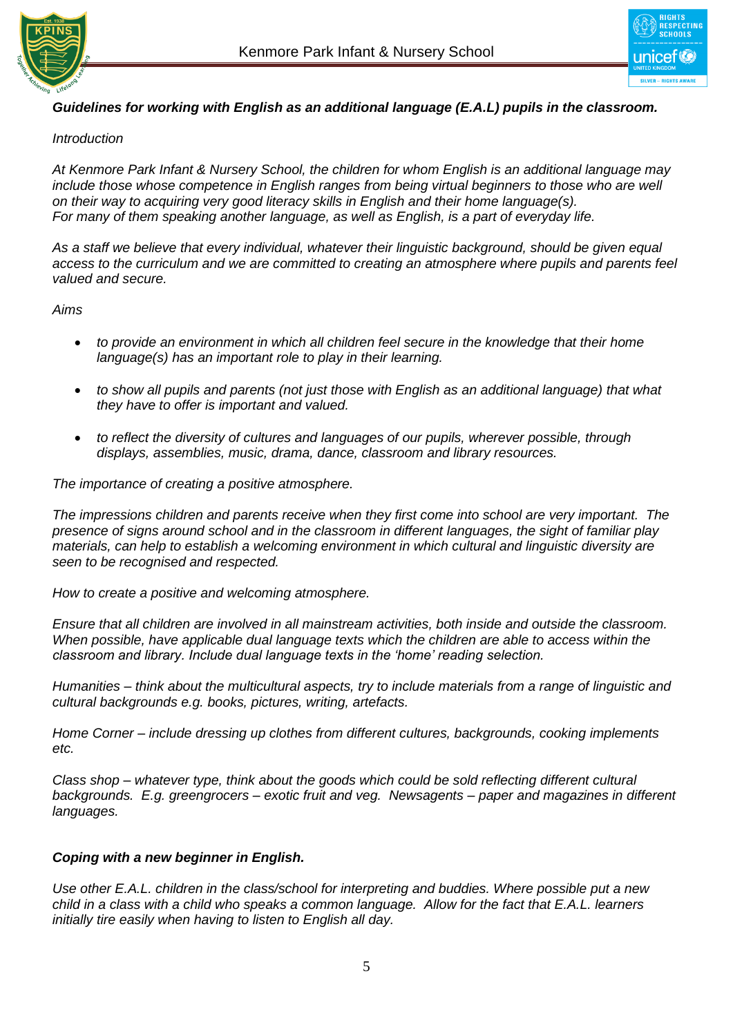



#### *Guidelines for working with English as an additional language (E.A.L) pupils in the classroom.*

#### *Introduction*

*At Kenmore Park Infant & Nursery School, the children for whom English is an additional language may include those whose competence in English ranges from being virtual beginners to those who are well on their way to acquiring very good literacy skills in English and their home language(s). For many of them speaking another language, as well as English, is a part of everyday life.*

*As a staff we believe that every individual, whatever their linguistic background, should be given equal access to the curriculum and we are committed to creating an atmosphere where pupils and parents feel valued and secure.*

*Aims*

- *to provide an environment in which all children feel secure in the knowledge that their home language(s) has an important role to play in their learning.*
- *to show all pupils and parents (not just those with English as an additional language) that what they have to offer is important and valued.*
- *to reflect the diversity of cultures and languages of our pupils, wherever possible, through displays, assemblies, music, drama, dance, classroom and library resources.*

*The importance of creating a positive atmosphere.*

*The impressions children and parents receive when they first come into school are very important. The presence of signs around school and in the classroom in different languages, the sight of familiar play materials, can help to establish a welcoming environment in which cultural and linguistic diversity are seen to be recognised and respected.*

*How to create a positive and welcoming atmosphere.*

*Ensure that all children are involved in all mainstream activities, both inside and outside the classroom. When possible, have applicable dual language texts which the children are able to access within the classroom and library. Include dual language texts in the 'home' reading selection.* 

*Humanities – think about the multicultural aspects, try to include materials from a range of linguistic and cultural backgrounds e.g. books, pictures, writing, artefacts.*

*Home Corner – include dressing up clothes from different cultures, backgrounds, cooking implements etc.*

*Class shop – whatever type, think about the goods which could be sold reflecting different cultural backgrounds. E.g. greengrocers – exotic fruit and veg. Newsagents – paper and magazines in different languages.*

#### *Coping with a new beginner in English.*

*Use other E.A.L. children in the class/school for interpreting and buddies. Where possible put a new child in a class with a child who speaks a common language. Allow for the fact that E.A.L. learners initially tire easily when having to listen to English all day.*